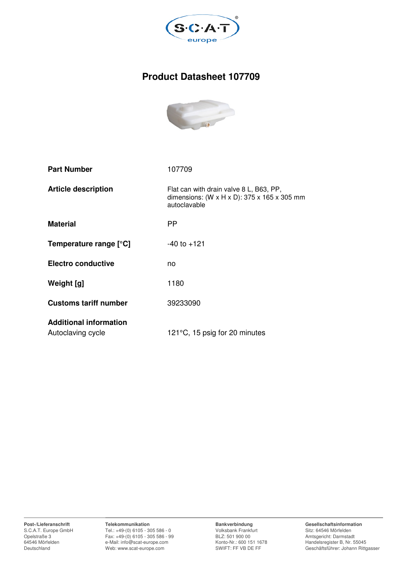

# **Product Datasheet 107709**



| <b>Part Number</b>                                 | 107709                                                                                                   |
|----------------------------------------------------|----------------------------------------------------------------------------------------------------------|
| <b>Article description</b>                         | Flat can with drain valve 8 L, B63, PP,<br>dimensions: (W x H x D): $375$ x 165 x 305 mm<br>autoclavable |
| <b>Material</b>                                    | PP                                                                                                       |
| Temperature range [°C]                             | $-40$ to $+121$                                                                                          |
| <b>Electro conductive</b>                          | no                                                                                                       |
| Weight [g]                                         | 1180                                                                                                     |
| <b>Customs tariff number</b>                       | 39233090                                                                                                 |
| <b>Additional information</b><br>Autoclaving cycle | 121°C, 15 psig for 20 minutes                                                                            |

**Post-/Lieferanschrift** S.C.A.T. Europe GmbH Opelstraße 3 64546 Mörfelden Deutschland

**Telekommunikation** Tel.: +49-(0) 6105 - 305 586 - 0 Fax: +49-(0) 6105 - 305 586 - 99 e-Mail: info@scat-europe.com Web: www.scat-europe.com

**Bankverbindung** Volksbank Frankfurt BLZ: 501 900 00 Konto-Nr.: 600 151 1678 SWIFT: FF VB DE FF

**Gesellschaftsinformation** Sitz: 64546 Mörfelden Amtsgericht: Darmstadt Handelsregister B, Nr. 55045 Geschäftsführer: Johann Rittgasser